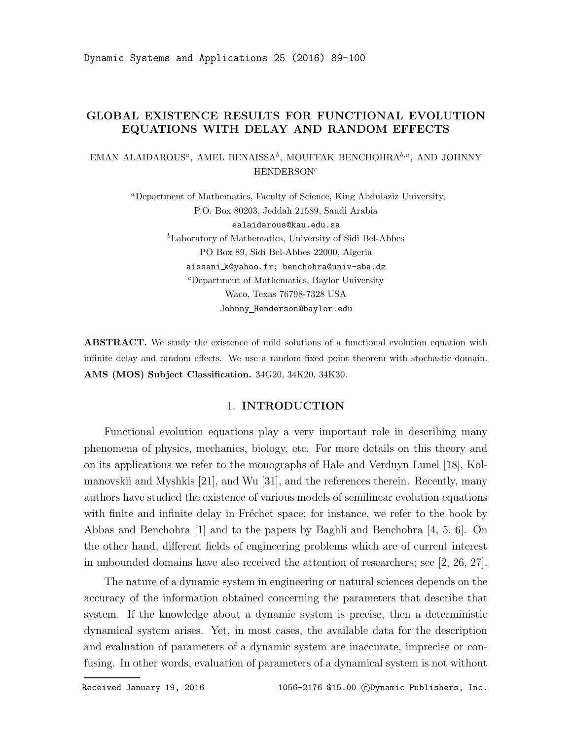Dynamic Systems and Applications 25 (2016) 89-100

# GLOBAL EXISTENCE RESULTS FOR FUNCTIONAL EVOLUTION EQUATIONS WITH DELAY AND RANDOM EFFECTS

EMAN ALAIDAROUS<sup>a</sup>, AMEL BENAISSA<sup>b</sup>, MOUFFAK BENCHOHRA $^{b,a}$ , AND JOHNNY  $HENDERSON<sup>c</sup>$ 

> <sup>a</sup>Department of Mathematics, Faculty of Science, King Abdulaziz University, P.O. Box 80203, Jeddah 21589, Saudi Arabia ealaidarous@kau.edu.sa  ${}^b$ Laboratory of Mathematics, University of Sidi Bel-Abbes PO Box 89, Sidi Bel-Abbes 22000, Algeria aissani k@yahoo.fr; benchohra@univ-sba.dz <sup>c</sup>Department of Mathematics, Baylor University Waco, Texas 76798-7328 USA

> > Johnny Henderson@baylor.edu

ABSTRACT. We study the existence of mild solutions of a functional evolution equation with infinite delay and random effects. We use a random fixed point theorem with stochastic domain. AMS (MOS) Subject Classification. 34G20, 34K20, 34K30.

## 1. INTRODUCTION

Functional evolution equations play a very important role in describing many phenomena of physics, mechanics, biology, etc. For more details on this theory and on its applications we refer to the monographs of Hale and Verduyn Lunel [18], Kolmanovskii and Myshkis [21], and Wu [31], and the references therein. Recently, many authors have studied the existence of various models of semilinear evolution equations with finite and infinite delay in Fréchet space; for instance, we refer to the book by Abbas and Benchohra [1] and to the papers by Baghli and Benchohra [4, 5, 6]. On the other hand, different fields of engineering problems which are of current interest in unbounded domains have also received the attention of researchers; see [2, 26, 27].

The nature of a dynamic system in engineering or natural sciences depends on the accuracy of the information obtained concerning the parameters that describe that system. If the knowledge about a dynamic system is precise, then a deterministic dynamical system arises. Yet, in most cases, the available data for the description and evaluation of parameters of a dynamic system are inaccurate, imprecise or confusing. In other words, evaluation of parameters of a dynamical system is not without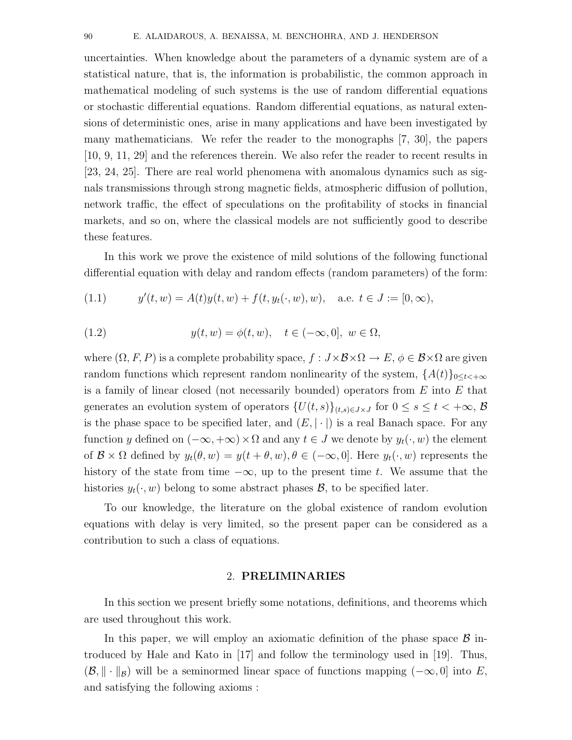uncertainties. When knowledge about the parameters of a dynamic system are of a statistical nature, that is, the information is probabilistic, the common approach in mathematical modeling of such systems is the use of random differential equations or stochastic differential equations. Random differential equations, as natural extensions of deterministic ones, arise in many applications and have been investigated by many mathematicians. We refer the reader to the monographs [7, 30], the papers [10, 9, 11, 29] and the references therein. We also refer the reader to recent results in [23, 24, 25]. There are real world phenomena with anomalous dynamics such as signals transmissions through strong magnetic fields, atmospheric diffusion of pollution, network traffic, the effect of speculations on the profitability of stocks in financial markets, and so on, where the classical models are not sufficiently good to describe these features.

In this work we prove the existence of mild solutions of the following functional differential equation with delay and random effects (random parameters) of the form:

(1.1) 
$$
y'(t, w) = A(t)y(t, w) + f(t, y_t(\cdot, w), w), \text{ a.e. } t \in J := [0, \infty),
$$

(1.2) 
$$
y(t, w) = \phi(t, w), \quad t \in (-\infty, 0], \ w \in \Omega,
$$

where  $(\Omega, F, P)$  is a complete probability space,  $f : J \times B \times \Omega \to E$ ,  $\phi \in B \times \Omega$  are given random functions which represent random nonlinearity of the system,  $\{A(t)\}_{0\leq t\leq +\infty}$ is a family of linear closed (not necessarily bounded) operators from  $E$  into  $E$  that generates an evolution system of operators  $\{U(t, s)\}_{(t, s) \in J \times J}$  for  $0 \le s \le t < +\infty$ ,  $\beta$ is the phase space to be specified later, and  $(E, |\cdot|)$  is a real Banach space. For any function y defined on  $(-\infty, +\infty) \times \Omega$  and any  $t \in J$  we denote by  $y_t(\cdot, w)$  the element of  $\mathcal{B} \times \Omega$  defined by  $y_t(\theta, w) = y(t + \theta, w), \theta \in (-\infty, 0]$ . Here  $y_t(\cdot, w)$  represents the history of the state from time  $-\infty$ , up to the present time t. We assume that the histories  $y_t(\cdot, w)$  belong to some abstract phases  $\mathcal{B}$ , to be specified later.

To our knowledge, the literature on the global existence of random evolution equations with delay is very limited, so the present paper can be considered as a contribution to such a class of equations.

### 2. PRELIMINARIES

In this section we present briefly some notations, definitions, and theorems which are used throughout this work.

In this paper, we will employ an axiomatic definition of the phase space  $\beta$  introduced by Hale and Kato in [17] and follow the terminology used in [19]. Thus,  $(\mathcal{B}, \|\cdot\|_{\mathcal{B}})$  will be a seminormed linear space of functions mapping  $(-\infty, 0]$  into E, and satisfying the following axioms :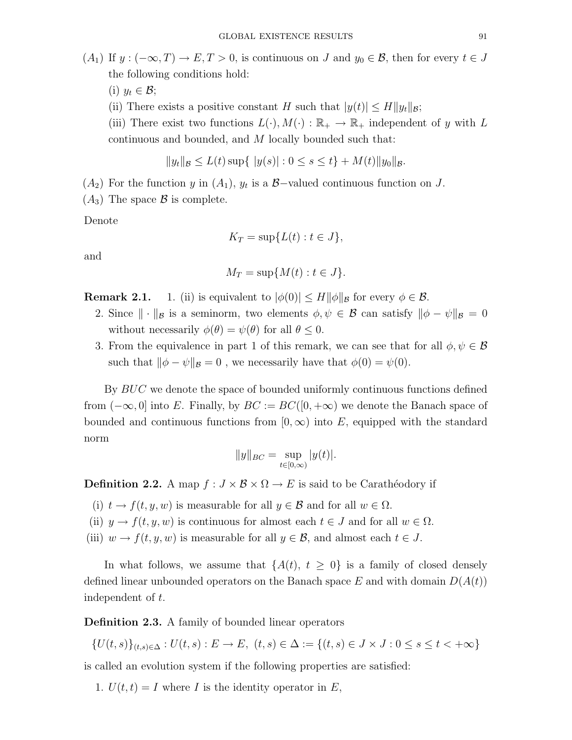- (i)  $y_t \in \mathcal{B}$ ;
- (ii) There exists a positive constant H such that  $|y(t)| \le H ||y_t||_{\mathcal{B}}$ ;
- (iii) There exist two functions  $L(\cdot), M(\cdot) : \mathbb{R}_+ \to \mathbb{R}_+$  independent of y with L continuous and bounded, and M locally bounded such that:

$$
||y_t||_{\mathcal{B}} \le L(t) \sup \{ |y(s)| : 0 \le s \le t \} + M(t) ||y_0||_{\mathcal{B}}.
$$

 $(A_2)$  For the function y in  $(A_1)$ ,  $y_t$  is a B-valued continuous function on J.

 $(A_3)$  The space  $\beta$  is complete.

Denote

$$
K_T = \sup\{L(t) : t \in J\},\
$$

and

$$
M_T = \sup \{ M(t) : t \in J \}.
$$

**Remark 2.1.** 1. (ii) is equivalent to  $|\phi(0)| \leq H ||\phi||_B$  for every  $\phi \in \mathcal{B}$ .

- 2. Since  $\|\cdot\|_{\mathcal{B}}$  is a seminorm, two elements  $\phi, \psi \in \mathcal{B}$  can satisfy  $\|\phi \psi\|_{\mathcal{B}} = 0$ without necessarily  $\phi(\theta) = \psi(\theta)$  for all  $\theta \leq 0$ .
- 3. From the equivalence in part 1 of this remark, we can see that for all  $\phi, \psi \in \mathcal{B}$ such that  $\|\phi - \psi\|_{\mathcal{B}} = 0$ , we necessarily have that  $\phi(0) = \psi(0)$ .

By BUC we denote the space of bounded uniformly continuous functions defined from  $(-\infty, 0]$  into E. Finally, by  $BC := BC([0, +\infty))$  we denote the Banach space of bounded and continuous functions from  $[0, \infty)$  into E, equipped with the standard norm

$$
||y||_{BC} = \sup_{t \in [0,\infty)} |y(t)|.
$$

**Definition 2.2.** A map  $f: J \times B \times \Omega \to E$  is said to be Carathéodory if

- (i)  $t \to f(t, y, w)$  is measurable for all  $y \in \mathcal{B}$  and for all  $w \in \Omega$ .
- (ii)  $y \to f(t, y, w)$  is continuous for almost each  $t \in J$  and for all  $w \in \Omega$ .
- (iii)  $w \to f(t, y, w)$  is measurable for all  $y \in \mathcal{B}$ , and almost each  $t \in J$ .

In what follows, we assume that  $\{A(t), t \geq 0\}$  is a family of closed densely defined linear unbounded operators on the Banach space E and with domain  $D(A(t))$ independent of t.

### Definition 2.3. A family of bounded linear operators

$$
\{U(t,s)\}_{(t,s)\in\Delta}: U(t,s): E \to E, \ (t,s) \in \Delta := \{(t,s) \in J \times J : 0 \le s \le t < +\infty\}
$$

is called an evolution system if the following properties are satisfied:

1.  $U(t, t) = I$  where I is the identity operator in E,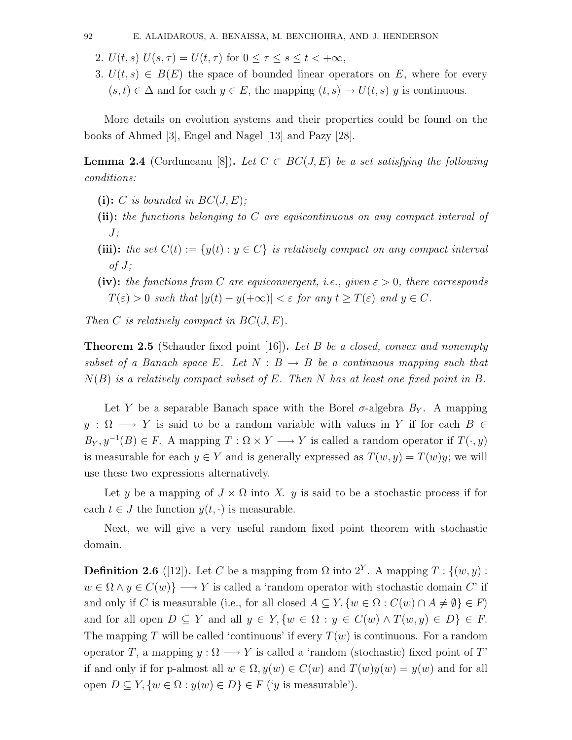2.  $U(t, s) U(s, \tau) = U(t, \tau)$  for  $0 \leq \tau \leq s \leq t < +\infty$ ,

3.  $U(t, s) \in B(E)$  the space of bounded linear operators on E, where for every  $(s, t) \in \Delta$  and for each  $y \in E$ , the mapping  $(t, s) \to U(t, s)$  y is continuous.

More details on evolution systems and their properties could be found on the books of Ahmed [3], Engel and Nagel [13] and Pazy [28].

**Lemma 2.4** (Corduneanu [8]). Let  $C \subset BC(J, E)$  be a set satisfying the following conditions:

- (i): C is bounded in  $BC(J, E)$ ;
- (ii): the functions belonging to C are equicontinuous on any compact interval of  $J$ :
- (iii): the set  $C(t) := \{y(t) : y \in C\}$  is relatively compact on any compact interval  $of J;$
- (iv): the functions from C are equiconvergent, i.e., given  $\varepsilon > 0$ , there corresponds  $T(\varepsilon) > 0$  such that  $|y(t) - y(+\infty)| < \varepsilon$  for any  $t \geq T(\varepsilon)$  and  $y \in C$ .

Then C is relatively compact in  $BC(J, E)$ .

**Theorem 2.5** (Schauder fixed point [16]). Let B be a closed, convex and nonempty subset of a Banach space E. Let  $N : B \to B$  be a continuous mapping such that  $N(B)$  is a relatively compact subset of E. Then N has at least one fixed point in B.

Let Y be a separable Banach space with the Borel  $\sigma$ -algebra  $B_Y$ . A mapping  $y : \Omega \longrightarrow Y$  is said to be a random variable with values in Y if for each  $B \in$  $B_Y, y^{-1}(B) \in F$ . A mapping  $T : \Omega \times Y \longrightarrow Y$  is called a random operator if  $T(\cdot, y)$ is measurable for each  $y \in Y$  and is generally expressed as  $T(w, y) = T(w)y$ ; we will use these two expressions alternatively.

Let y be a mapping of  $J \times \Omega$  into X. y is said to be a stochastic process if for each  $t \in J$  the function  $y(t, \cdot)$  is measurable.

Next, we will give a very useful random fixed point theorem with stochastic domain.

**Definition 2.6** ([12]). Let C be a mapping from  $\Omega$  into  $2^Y$ . A mapping  $T: \{(w, y) :$  $w \in \Omega \wedge y \in C(w)$   $\longrightarrow$  Y is called a 'random operator with stochastic domain C' if and only if C is measurable (i.e., for all closed  $A \subseteq Y, \{w \in \Omega : C(w) \cap A \neq \emptyset\} \in F$ ) and for all open  $D \subseteq Y$  and all  $y \in Y$ ,  $\{w \in \Omega : y \in C(w) \wedge T(w, y) \in D\} \in F$ . The mapping T will be called 'continuous' if every  $T(w)$  is continuous. For a random operator T, a mapping  $y : \Omega \longrightarrow Y$  is called a 'random (stochastic) fixed point of T' if and only if for p-almost all  $w \in \Omega$ ,  $y(w) \in C(w)$  and  $T(w)y(w) = y(w)$  and for all open  $D \subseteq Y$ ,  $\{w \in \Omega : y(w) \in D\} \in F$  ('y is measurable').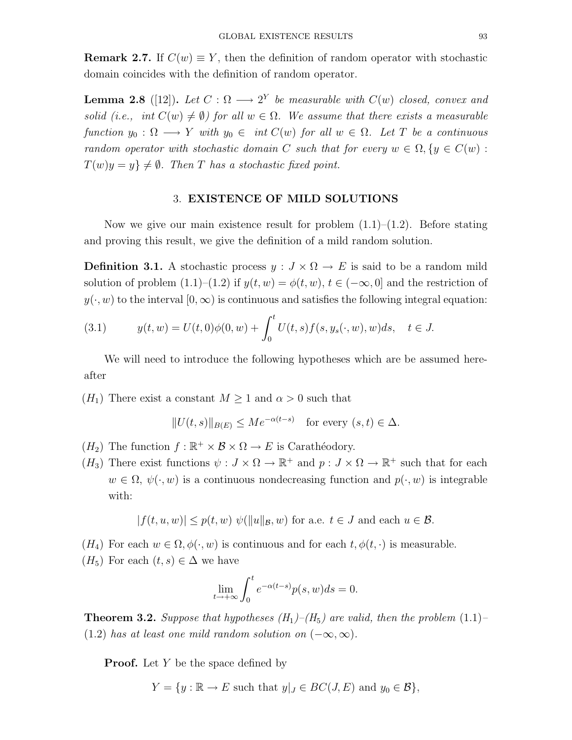**Remark 2.7.** If  $C(w) \equiv Y$ , then the definition of random operator with stochastic domain coincides with the definition of random operator.

**Lemma 2.8** ([12]). Let  $C: \Omega \longrightarrow 2^Y$  be measurable with  $C(w)$  closed, convex and solid (i.e., int  $C(w) \neq \emptyset$ ) for all  $w \in \Omega$ . We assume that there exists a measurable function  $y_0 : \Omega \longrightarrow Y$  with  $y_0 \in \text{int } C(w)$  for all  $w \in \Omega$ . Let T be a continuous random operator with stochastic domain C such that for every  $w \in \Omega, \{y \in C(w) :$  $T(w)y = y$   $\neq \emptyset$ . Then T has a stochastic fixed point.

### 3. EXISTENCE OF MILD SOLUTIONS

Now we give our main existence result for problem  $(1.1)$ – $(1.2)$ . Before stating and proving this result, we give the definition of a mild random solution.

**Definition 3.1.** A stochastic process  $y: J \times \Omega \to E$  is said to be a random mild solution of problem  $(1.1)–(1.2)$  if  $y(t, w) = \phi(t, w)$ ,  $t \in (-\infty, 0]$  and the restriction of  $y(\cdot, w)$  to the interval  $[0, \infty)$  is continuous and satisfies the following integral equation:

(3.1) 
$$
y(t, w) = U(t, 0)\phi(0, w) + \int_0^t U(t, s)f(s, y_s(\cdot, w), w)ds, \quad t \in J.
$$

We will need to introduce the following hypotheses which are be assumed hereafter

 $(H_1)$  There exist a constant  $M \geq 1$  and  $\alpha > 0$  such that

$$
||U(t,s)||_{B(E)} \le Me^{-\alpha(t-s)} \quad \text{for every } (s,t) \in \Delta.
$$

- $(H_2)$  The function  $f : \mathbb{R}^+ \times \mathcal{B} \times \Omega \to E$  is Carathéodory.
- $(H_3)$  There exist functions  $\psi: J \times \Omega \to \mathbb{R}^+$  and  $p: J \times \Omega \to \mathbb{R}^+$  such that for each  $w \in \Omega$ ,  $\psi(\cdot, w)$  is a continuous nondecreasing function and  $p(\cdot, w)$  is integrable with:

$$
|f(t, u, w)| \le p(t, w) \psi(||u||_B, w) \text{ for a.e. } t \in J \text{ and each } u \in \mathcal{B}.
$$

- $(H_4)$  For each  $w \in \Omega, \phi(\cdot, w)$  is continuous and for each  $t, \phi(t, \cdot)$  is measurable.
- $(H_5)$  For each  $(t, s) \in \Delta$  we have

$$
\lim_{t \to +\infty} \int_0^t e^{-\alpha(t-s)} p(s, w) ds = 0.
$$

**Theorem 3.2.** Suppose that hypotheses  $(H_1)$ – $(H_5)$  are valid, then the problem (1.1)– (1.2) has at least one mild random solution on  $(-\infty, \infty)$ .

**Proof.** Let  $Y$  be the space defined by

$$
Y = \{ y : \mathbb{R} \to E \text{ such that } y|_J \in BC(J, E) \text{ and } y_0 \in \mathcal{B} \},
$$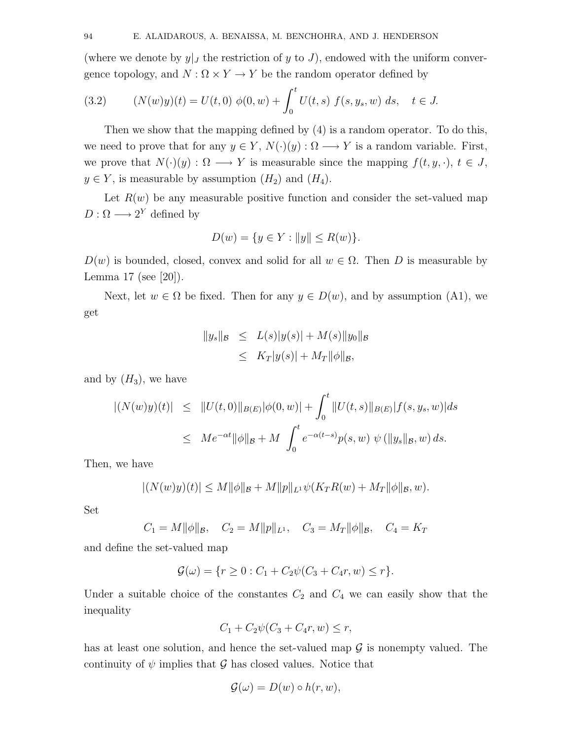(where we denote by  $y|_J$  the restriction of y to J), endowed with the uniform convergence topology, and  $N : \Omega \times Y \to Y$  be the random operator defined by

(3.2) 
$$
(N(w)y)(t) = U(t,0) \phi(0,w) + \int_0^t U(t,s) f(s,y_s,w) ds, \quad t \in J.
$$

Then we show that the mapping defined by (4) is a random operator. To do this, we need to prove that for any  $y \in Y$ ,  $N(\cdot)(y) : \Omega \longrightarrow Y$  is a random variable. First, we prove that  $N(\cdot)(y) : \Omega \longrightarrow Y$  is measurable since the mapping  $f(t, y, \cdot), t \in J$ ,  $y \in Y$ , is measurable by assumption  $(H_2)$  and  $(H_4)$ .

Let  $R(w)$  be any measurable positive function and consider the set-valued map  $D: \Omega \longrightarrow 2^Y$  defined by

$$
D(w) = \{ y \in Y : ||y|| \le R(w) \}.
$$

 $D(w)$  is bounded, closed, convex and solid for all  $w \in \Omega$ . Then D is measurable by Lemma 17 (see [20]).

Next, let  $w \in \Omega$  be fixed. Then for any  $y \in D(w)$ , and by assumption (A1), we get

$$
||y_s||_{\mathcal{B}} \le L(s)|y(s)| + M(s)||y_0||_{\mathcal{B}}\le K_T|y(s)| + M_T||\phi||_{\mathcal{B}},
$$

and by  $(H_3)$ , we have

$$
|(N(w)y)(t)| \leq ||U(t,0)||_{B(E)}|\phi(0,w)| + \int_0^t ||U(t,s)||_{B(E)}|f(s,y_s,w)|ds
$$
  

$$
\leq Me^{-\alpha t}||\phi||_B + M \int_0^t e^{-\alpha(t-s)} p(s,w) \psi(||y_s||_B, w) ds.
$$

Then, we have

$$
|(N(w)y)(t)| \le M ||\phi||_{\mathcal{B}} + M ||p||_{L^{1}} \psi(K_{T}R(w) + M_{T} ||\phi||_{\mathcal{B}}, w).
$$

Set

$$
C_1 = M ||\phi||_B, \quad C_2 = M ||p||_{L^1}, \quad C_3 = M_T ||\phi||_B, \quad C_4 = K_T
$$

and define the set-valued map

$$
\mathcal{G}(\omega) = \{r \ge 0 : C_1 + C_2 \psi(C_3 + C_4 r, w) \le r\}.
$$

Under a suitable choice of the constantes  $C_2$  and  $C_4$  we can easily show that the inequality

$$
C_1 + C_2 \psi (C_3 + C_4 r, w) \le r,
$$

has at least one solution, and hence the set-valued map  $\mathcal G$  is nonempty valued. The continuity of  $\psi$  implies that  $\mathcal G$  has closed values. Notice that

$$
\mathcal{G}(\omega) = D(w) \circ h(r, w),
$$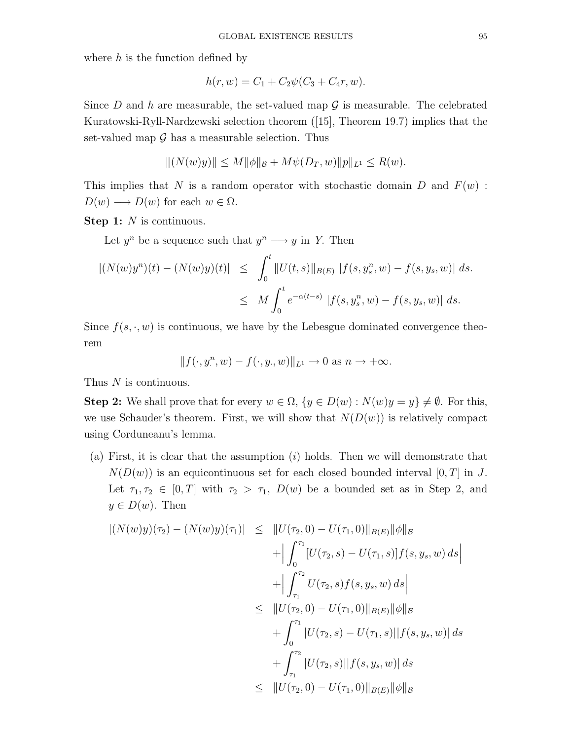where  $h$  is the function defined by

$$
h(r, w) = C_1 + C_2 \psi (C_3 + C_4 r, w).
$$

Since D and h are measurable, the set-valued map  $\mathcal G$  is measurable. The celebrated Kuratowski-Ryll-Nardzewski selection theorem ([15], Theorem 19.7) implies that the set-valued map  $\mathcal G$  has a measurable selection. Thus

$$
|| (N(w)y)|| \le M ||\phi||_B + M\psi(D_T, w)||p||_{L^1} \le R(w).
$$

This implies that N is a random operator with stochastic domain D and  $F(w)$ :  $D(w) \longrightarrow D(w)$  for each  $w \in \Omega$ .

Step 1: N is continuous.

Let  $y^n$  be a sequence such that  $y^n \longrightarrow y$  in Y. Then

$$
\begin{aligned} |(N(w)y^n)(t) - (N(w)y)(t)| &\leq \int_0^t \|U(t,s)\|_{B(E)} \|f(s,y_s^n,w) - f(s,y_s,w)\| \, ds. \\ &\leq M \int_0^t e^{-\alpha(t-s)} \|f(s,y_s^n,w) - f(s,y_s,w)\| \, ds. \end{aligned}
$$

Since  $f(s, \cdot, w)$  is continuous, we have by the Lebesgue dominated convergence theorem

$$
|| f(\cdot, y^n, w) - f(\cdot, y, w)||_{L^1} \to 0 \text{ as } n \to +\infty.
$$

Thus N is continuous.

Step 2: We shall prove that for every  $w \in \Omega$ ,  $\{y \in D(w) : N(w)y = y\} \neq \emptyset$ . For this, we use Schauder's theorem. First, we will show that  $N(D(w))$  is relatively compact using Corduneanu's lemma.

(a) First, it is clear that the assumption  $(i)$  holds. Then we will demonstrate that  $N(D(w))$  is an equicontinuous set for each closed bounded interval [0, T] in J. Let  $\tau_1, \tau_2 \in [0, T]$  with  $\tau_2 > \tau_1$ ,  $D(w)$  be a bounded set as in Step 2, and  $y \in D(w)$ . Then

$$
\begin{aligned} |(N(w)y)(\tau_2) - (N(w)y)(\tau_1)| &\leq \|U(\tau_2, 0) - U(\tau_1, 0)\|_{B(E)} \|\phi\|_{\mathcal{B}} \\ &+ \Big| \int_0^{\tau_1} [U(\tau_2, s) - U(\tau_1, s)] f(s, y_s, w) \, ds \Big| \\ &\leq \|U(\tau_2, s)f(s, y_s, w) \, ds \Big| \\ &\leq \|U(\tau_2, 0) - U(\tau_1, 0)\|_{B(E)} \|\phi\|_{\mathcal{B}} \\ &\quad + \int_0^{\tau_1} |U(\tau_2, s) - U(\tau_1, s)| |f(s, y_s, w)| \, ds \\ &\leq \|U(\tau_2, s)| |f(s, y_s, w)| \, ds \\ &\leq \|U(\tau_2, 0) - U(\tau_1, 0)\|_{B(E)} \|\phi\|_{\mathcal{B}} \end{aligned}
$$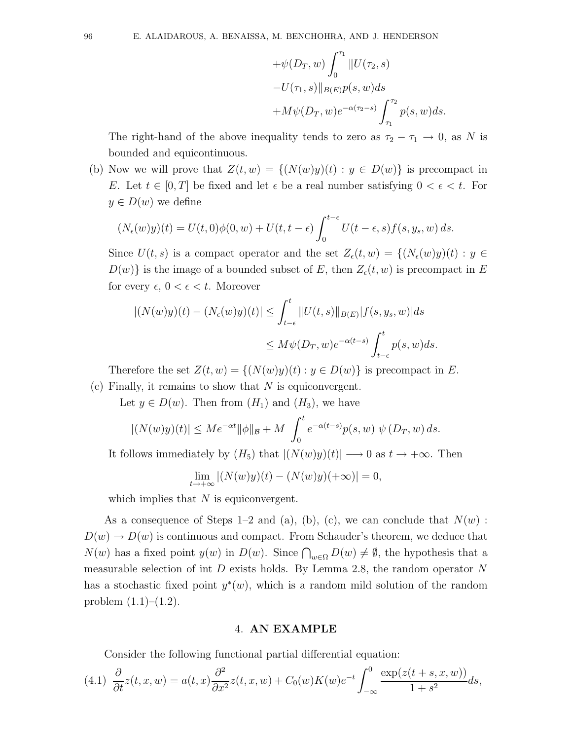+
$$
\psi(D_T, w) \int_0^{\tau_1} ||U(\tau_2, s)|
$$
  
- $U(\tau_1, s)||_{B(E)}p(s, w)ds$   
+ $M\psi(D_T, w)e^{-\alpha(\tau_2 - s)} \int_{\tau_1}^{\tau_2} p(s, w)ds.$ 

The right-hand of the above inequality tends to zero as  $\tau_2 - \tau_1 \rightarrow 0$ , as N is bounded and equicontinuous.

(b) Now we will prove that  $Z(t, w) = \{ (N(w)y)(t) : y \in D(w) \}$  is precompact in E. Let  $t \in [0, T]$  be fixed and let  $\epsilon$  be a real number satisfying  $0 < \epsilon < t$ . For  $y \in D(w)$  we define

$$
(N_{\epsilon}(w)y)(t) = U(t,0)\phi(0,w) + U(t,t-\epsilon)\int_0^{t-\epsilon} U(t-\epsilon,s)f(s,y_s,w)\,ds.
$$

Since  $U(t, s)$  is a compact operator and the set  $Z_{\epsilon}(t, w) = \{ (N_{\epsilon}(w)y)(t) : y \in$  $D(w)$  is the image of a bounded subset of E, then  $Z_{\epsilon}(t, w)$  is precompact in E for every  $\epsilon$ ,  $0 < \epsilon < t$ . Moreover

$$
|(N(w)y)(t) - (N_{\epsilon}(w)y)(t)| \leq \int_{t-\epsilon}^{t} ||U(t,s)||_{B(E)} |f(s,y_s,w)| ds
$$
  

$$
\leq M\psi(D_T, w)e^{-\alpha(t-s)} \int_{t-\epsilon}^{t} p(s,w)ds.
$$

Therefore the set  $Z(t, w) = \{(N(w)y)(t) : y \in D(w)\}\$ is precompact in E. (c) Finally, it remains to show that  $N$  is equiconvergent.

Let  $y \in D(w)$ . Then from  $(H_1)$  and  $(H_3)$ , we have

$$
|(N(w)y)(t)| \le Me^{-\alpha t} \|\phi\|_{\mathcal{B}} + M \int_0^t e^{-\alpha(t-s)} p(s, w) \ \psi(D_T, w) \, ds.
$$

It follows immediately by  $(H_5)$  that  $|(N(w)y)(t)| \longrightarrow 0$  as  $t \rightarrow +\infty$ . Then

$$
\lim_{t \to +\infty} |(N(w)y)(t) - (N(w)y)(+\infty)| = 0,
$$

which implies that  $N$  is equiconvergent.

As a consequence of Steps 1–2 and (a), (b), (c), we can conclude that  $N(w)$ :  $D(w) \to D(w)$  is continuous and compact. From Schauder's theorem, we deduce that  $N(w)$  has a fixed point  $y(w)$  in  $D(w)$ . Since  $\bigcap_{w\in\Omega}D(w)\neq\emptyset$ , the hypothesis that a measurable selection of int  $D$  exists holds. By Lemma 2.8, the random operator  $N$ has a stochastic fixed point  $y^*(w)$ , which is a random mild solution of the random problem  $(1.1)–(1.2)$ .

#### 4. AN EXAMPLE

Consider the following functional partial differential equation:

$$
(4.1)\ \frac{\partial}{\partial t}z(t,x,w) = a(t,x)\frac{\partial^2}{\partial x^2}z(t,x,w) + C_0(w)K(w)e^{-t}\int_{-\infty}^0\frac{\exp(z(t+s,x,w))}{1+s^2}ds,
$$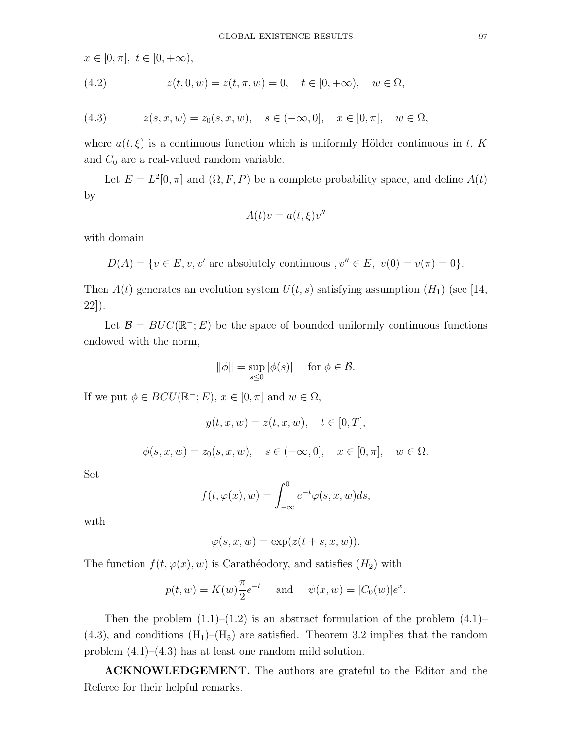$x \in [0, \pi], t \in [0, +\infty),$ 

(4.2) 
$$
z(t, 0, w) = z(t, \pi, w) = 0, \quad t \in [0, +\infty), \quad w \in \Omega,
$$

(4.3) 
$$
z(s, x, w) = z_0(s, x, w), \quad s \in (-\infty, 0], \quad x \in [0, \pi], \quad w \in \Omega,
$$

where  $a(t,\xi)$  is a continuous function which is uniformly Hölder continuous in t, K and  $C_0$  are a real-valued random variable.

Let  $E = L^2[0, \pi]$  and  $(\Omega, F, P)$  be a complete probability space, and define  $A(t)$ by

$$
A(t)v = a(t, \xi)v''
$$

with domain

 $D(A) = \{v \in E, v, v' \text{ are absolutely continuous }, v'' \in E, v(0) = v(\pi) = 0\}.$ 

Then  $A(t)$  generates an evolution system  $U(t, s)$  satisfying assumption  $(H_1)$  (see [14, 22]).

Let  $\mathcal{B} = BUC(\mathbb{R}^-; E)$  be the space of bounded uniformly continuous functions endowed with the norm,

$$
\|\phi\| = \sup_{s \le 0} |\phi(s)| \quad \text{ for } \phi \in \mathcal{B}.
$$

If we put  $\phi \in BCU(\mathbb{R}^-; E)$ ,  $x \in [0, \pi]$  and  $w \in \Omega$ ,

$$
y(t, x, w) = z(t, x, w), \quad t \in [0, T],
$$

 $\phi(s, x, w) = z_0(s, x, w), \quad s \in (-\infty, 0], \quad x \in [0, \pi], \quad w \in \Omega.$ 

Set

$$
f(t, \varphi(x), w) = \int_{-\infty}^{0} e^{-t} \varphi(s, x, w) ds,
$$

with

$$
\varphi(s, x, w) = \exp(z(t+s, x, w)).
$$

The function  $f(t, \varphi(x), w)$  is Carathéodory, and satisfies  $(H_2)$  with

$$
p(t, w) = K(w) \frac{\pi}{2} e^{-t}
$$
 and  $\psi(x, w) = |C_0(w)| e^x$ .

Then the problem  $(1.1)$ – $(1.2)$  is an abstract formulation of the problem  $(4.1)$ –  $(4.3)$ , and conditions  $(H_1)$ – $(H_5)$  are satisfied. Theorem 3.2 implies that the random problem (4.1)–(4.3) has at least one random mild solution.

ACKNOWLEDGEMENT. The authors are grateful to the Editor and the Referee for their helpful remarks.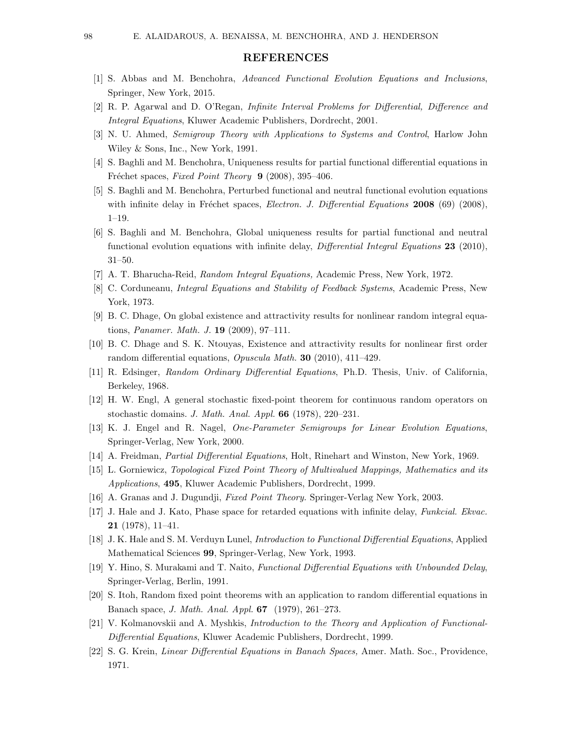### REFERENCES

- [1] S. Abbas and M. Benchohra, Advanced Functional Evolution Equations and Inclusions, Springer, New York, 2015.
- [2] R. P. Agarwal and D. O'Regan, Infinite Interval Problems for Differential, Difference and Integral Equations, Kluwer Academic Publishers, Dordrecht, 2001.
- [3] N. U. Ahmed, Semigroup Theory with Applications to Systems and Control, Harlow John Wiley & Sons, Inc., New York, 1991.
- [4] S. Baghli and M. Benchohra, Uniqueness results for partial functional differential equations in Fréchet spaces, Fixed Point Theory 9 (2008), 395–406.
- [5] S. Baghli and M. Benchohra, Perturbed functional and neutral functional evolution equations with infinite delay in Fréchet spaces, *Electron. J. Differential Equations* 2008 (69) (2008), 1–19.
- [6] S. Baghli and M. Benchohra, Global uniqueness results for partial functional and neutral functional evolution equations with infinite delay, Differential Integral Equations 23 (2010), 31–50.
- [7] A. T. Bharucha-Reid, Random Integral Equations, Academic Press, New York, 1972.
- [8] C. Corduneanu, Integral Equations and Stability of Feedback Systems, Academic Press, New York, 1973.
- [9] B. C. Dhage, On global existence and attractivity results for nonlinear random integral equations, Panamer. Math. J. 19 (2009), 97–111.
- [10] B. C. Dhage and S. K. Ntouyas, Existence and attractivity results for nonlinear first order random differential equations, Opuscula Math. 30 (2010), 411–429.
- [11] R. Edsinger, Random Ordinary Differential Equations, Ph.D. Thesis, Univ. of California, Berkeley, 1968.
- [12] H. W. Engl, A general stochastic fixed-point theorem for continuous random operators on stochastic domains. J. Math. Anal. Appl. 66 (1978), 220–231.
- [13] K. J. Engel and R. Nagel, One-Parameter Semigroups for Linear Evolution Equations, Springer-Verlag, New York, 2000.
- [14] A. Freidman, Partial Differential Equations, Holt, Rinehart and Winston, New York, 1969.
- [15] L. Gorniewicz, Topological Fixed Point Theory of Multivalued Mappings, Mathematics and its Applications, 495, Kluwer Academic Publishers, Dordrecht, 1999.
- [16] A. Granas and J. Dugundji, Fixed Point Theory. Springer-Verlag New York, 2003.
- [17] J. Hale and J. Kato, Phase space for retarded equations with infinite delay, Funkcial. Ekvac. 21 (1978), 11–41.
- [18] J. K. Hale and S. M. Verduyn Lunel, Introduction to Functional Differential Equations, Applied Mathematical Sciences 99, Springer-Verlag, New York, 1993.
- [19] Y. Hino, S. Murakami and T. Naito, Functional Differential Equations with Unbounded Delay, Springer-Verlag, Berlin, 1991.
- [20] S. Itoh, Random fixed point theorems with an application to random differential equations in Banach space, J. Math. Anal. Appl. 67 (1979), 261–273.
- [21] V. Kolmanovskii and A. Myshkis, Introduction to the Theory and Application of Functional-Differential Equations, Kluwer Academic Publishers, Dordrecht, 1999.
- [22] S. G. Krein, Linear Differential Equations in Banach Spaces, Amer. Math. Soc., Providence, 1971.